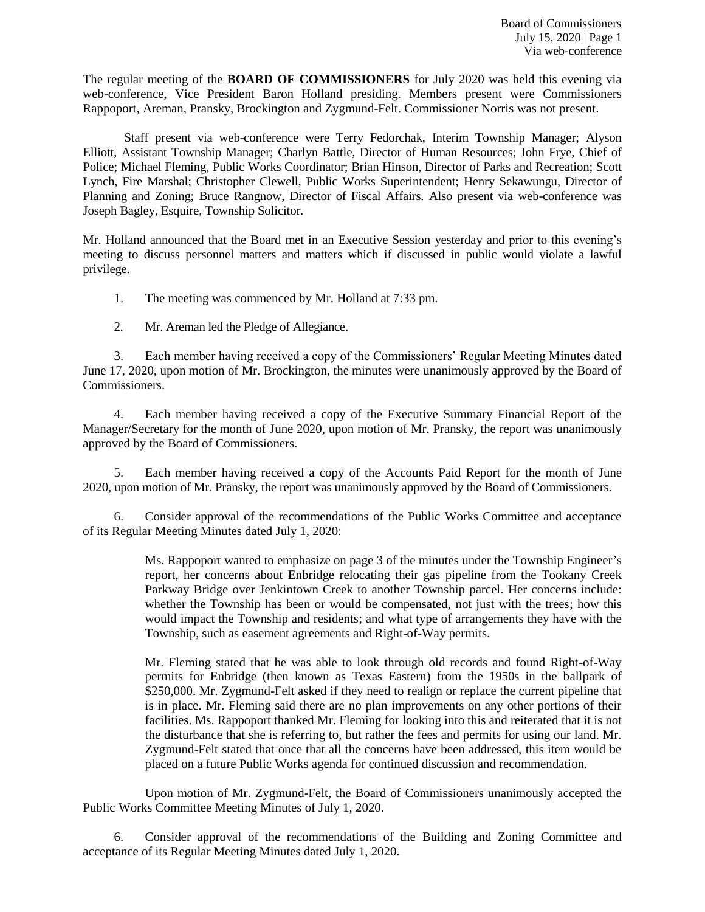The regular meeting of the **BOARD OF COMMISSIONERS** for July 2020 was held this evening via web-conference, Vice President Baron Holland presiding. Members present were Commissioners Rappoport, Areman, Pransky, Brockington and Zygmund-Felt. Commissioner Norris was not present.

Staff present via web-conference were Terry Fedorchak, Interim Township Manager; Alyson Elliott, Assistant Township Manager; Charlyn Battle, Director of Human Resources; John Frye, Chief of Police; Michael Fleming, Public Works Coordinator; Brian Hinson, Director of Parks and Recreation; Scott Lynch, Fire Marshal; Christopher Clewell, Public Works Superintendent; Henry Sekawungu, Director of Planning and Zoning; Bruce Rangnow, Director of Fiscal Affairs. Also present via web-conference was Joseph Bagley, Esquire, Township Solicitor.

Mr. Holland announced that the Board met in an Executive Session yesterday and prior to this evening's meeting to discuss personnel matters and matters which if discussed in public would violate a lawful privilege.

1. The meeting was commenced by Mr. Holland at 7:33 pm.

2. Mr. Areman led the Pledge of Allegiance.

3. Each member having received a copy of the Commissioners' Regular Meeting Minutes dated June 17, 2020, upon motion of Mr. Brockington, the minutes were unanimously approved by the Board of Commissioners.

4. Each member having received a copy of the Executive Summary Financial Report of the Manager/Secretary for the month of June 2020, upon motion of Mr. Pransky, the report was unanimously approved by the Board of Commissioners.

5. Each member having received a copy of the Accounts Paid Report for the month of June 2020, upon motion of Mr. Pransky, the report was unanimously approved by the Board of Commissioners.

6. Consider approval of the recommendations of the Public Works Committee and acceptance of its Regular Meeting Minutes dated July 1, 2020:

> Ms. Rappoport wanted to emphasize on page 3 of the minutes under the Township Engineer's report, her concerns about Enbridge relocating their gas pipeline from the Tookany Creek Parkway Bridge over Jenkintown Creek to another Township parcel. Her concerns include: whether the Township has been or would be compensated, not just with the trees; how this would impact the Township and residents; and what type of arrangements they have with the Township, such as easement agreements and Right-of-Way permits.

> Mr. Fleming stated that he was able to look through old records and found Right-of-Way permits for Enbridge (then known as Texas Eastern) from the 1950s in the ballpark of \$250,000. Mr. Zygmund-Felt asked if they need to realign or replace the current pipeline that is in place. Mr. Fleming said there are no plan improvements on any other portions of their facilities. Ms. Rappoport thanked Mr. Fleming for looking into this and reiterated that it is not the disturbance that she is referring to, but rather the fees and permits for using our land. Mr. Zygmund-Felt stated that once that all the concerns have been addressed, this item would be placed on a future Public Works agenda for continued discussion and recommendation.

Upon motion of Mr. Zygmund-Felt, the Board of Commissioners unanimously accepted the Public Works Committee Meeting Minutes of July 1, 2020.

6. Consider approval of the recommendations of the Building and Zoning Committee and acceptance of its Regular Meeting Minutes dated July 1, 2020.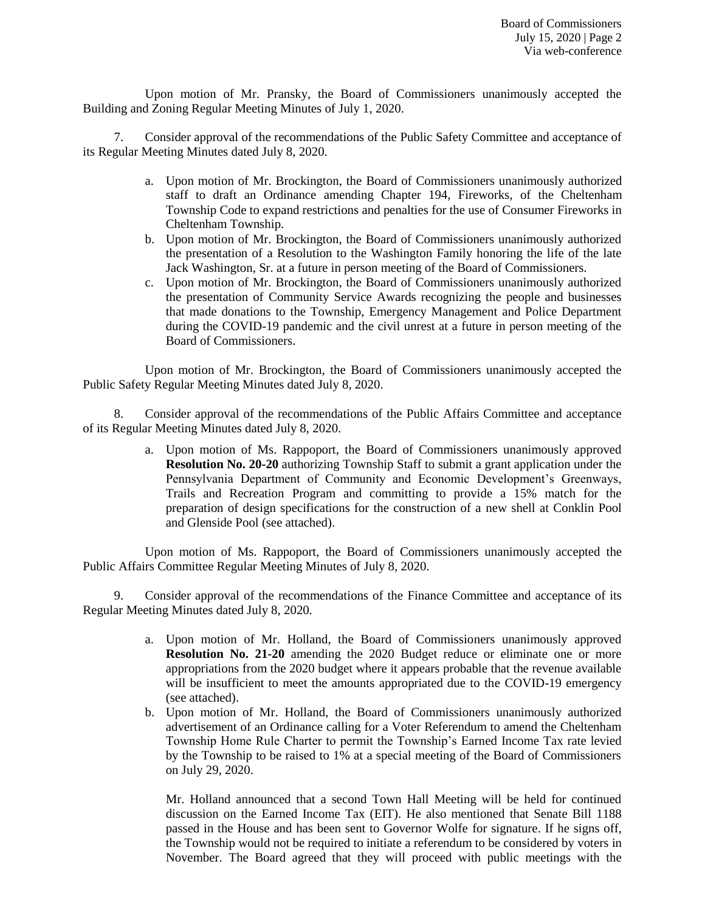Upon motion of Mr. Pransky, the Board of Commissioners unanimously accepted the Building and Zoning Regular Meeting Minutes of July 1, 2020.

7. Consider approval of the recommendations of the Public Safety Committee and acceptance of its Regular Meeting Minutes dated July 8, 2020.

- a. Upon motion of Mr. Brockington, the Board of Commissioners unanimously authorized staff to draft an Ordinance amending Chapter 194, Fireworks, of the Cheltenham Township Code to expand restrictions and penalties for the use of Consumer Fireworks in Cheltenham Township.
- b. Upon motion of Mr. Brockington, the Board of Commissioners unanimously authorized the presentation of a Resolution to the Washington Family honoring the life of the late Jack Washington, Sr. at a future in person meeting of the Board of Commissioners.
- c. Upon motion of Mr. Brockington, the Board of Commissioners unanimously authorized the presentation of Community Service Awards recognizing the people and businesses that made donations to the Township, Emergency Management and Police Department during the COVID-19 pandemic and the civil unrest at a future in person meeting of the Board of Commissioners.

Upon motion of Mr. Brockington, the Board of Commissioners unanimously accepted the Public Safety Regular Meeting Minutes dated July 8, 2020.

8. Consider approval of the recommendations of the Public Affairs Committee and acceptance of its Regular Meeting Minutes dated July 8, 2020.

> a. Upon motion of Ms. Rappoport, the Board of Commissioners unanimously approved **Resolution No. 20-20** authorizing Township Staff to submit a grant application under the Pennsylvania Department of Community and Economic Development's Greenways, Trails and Recreation Program and committing to provide a 15% match for the preparation of design specifications for the construction of a new shell at Conklin Pool and Glenside Pool (see attached).

Upon motion of Ms. Rappoport, the Board of Commissioners unanimously accepted the Public Affairs Committee Regular Meeting Minutes of July 8, 2020.

9. Consider approval of the recommendations of the Finance Committee and acceptance of its Regular Meeting Minutes dated July 8, 2020.

- a. Upon motion of Mr. Holland, the Board of Commissioners unanimously approved **Resolution No. 21-20** amending the 2020 Budget reduce or eliminate one or more appropriations from the 2020 budget where it appears probable that the revenue available will be insufficient to meet the amounts appropriated due to the COVID-19 emergency (see attached).
- b. Upon motion of Mr. Holland, the Board of Commissioners unanimously authorized advertisement of an Ordinance calling for a Voter Referendum to amend the Cheltenham Township Home Rule Charter to permit the Township's Earned Income Tax rate levied by the Township to be raised to 1% at a special meeting of the Board of Commissioners on July 29, 2020.

Mr. Holland announced that a second Town Hall Meeting will be held for continued discussion on the Earned Income Tax (EIT). He also mentioned that Senate Bill 1188 passed in the House and has been sent to Governor Wolfe for signature. If he signs off, the Township would not be required to initiate a referendum to be considered by voters in November. The Board agreed that they will proceed with public meetings with the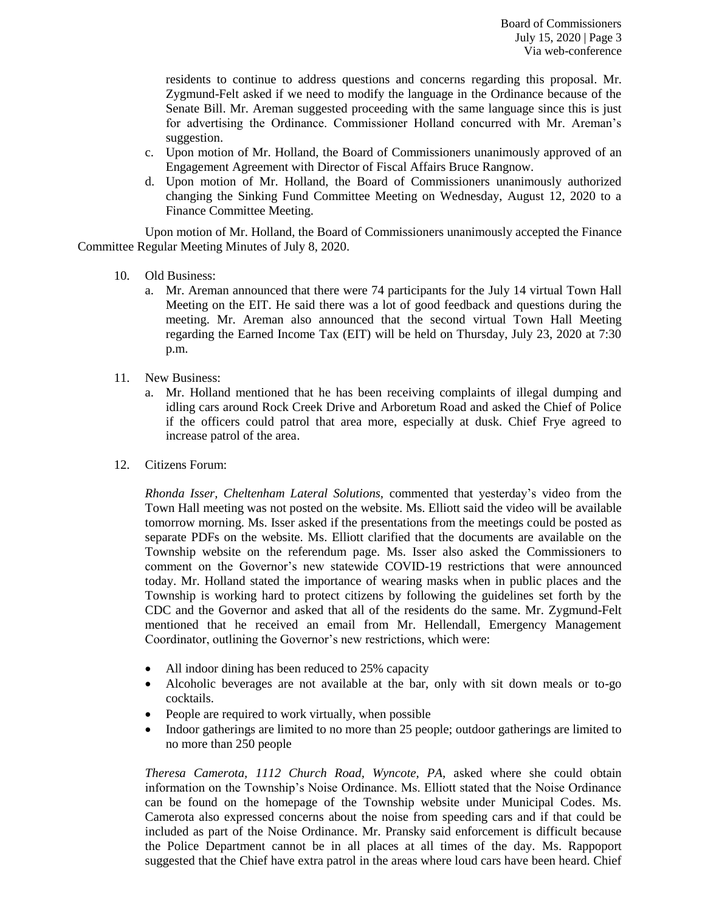residents to continue to address questions and concerns regarding this proposal. Mr. Zygmund-Felt asked if we need to modify the language in the Ordinance because of the Senate Bill. Mr. Areman suggested proceeding with the same language since this is just for advertising the Ordinance. Commissioner Holland concurred with Mr. Areman's suggestion.

- c. Upon motion of Mr. Holland, the Board of Commissioners unanimously approved of an Engagement Agreement with Director of Fiscal Affairs Bruce Rangnow.
- d. Upon motion of Mr. Holland, the Board of Commissioners unanimously authorized changing the Sinking Fund Committee Meeting on Wednesday, August 12, 2020 to a Finance Committee Meeting.

Upon motion of Mr. Holland, the Board of Commissioners unanimously accepted the Finance Committee Regular Meeting Minutes of July 8, 2020.

- 10. Old Business:
	- a. Mr. Areman announced that there were 74 participants for the July 14 virtual Town Hall Meeting on the EIT. He said there was a lot of good feedback and questions during the meeting. Mr. Areman also announced that the second virtual Town Hall Meeting regarding the Earned Income Tax (EIT) will be held on Thursday, July 23, 2020 at 7:30 p.m.
- 11. New Business:
	- a. Mr. Holland mentioned that he has been receiving complaints of illegal dumping and idling cars around Rock Creek Drive and Arboretum Road and asked the Chief of Police if the officers could patrol that area more, especially at dusk. Chief Frye agreed to increase patrol of the area.
- 12. Citizens Forum:

*Rhonda Isser, Cheltenham Lateral Solutions,* commented that yesterday's video from the Town Hall meeting was not posted on the website. Ms. Elliott said the video will be available tomorrow morning. Ms. Isser asked if the presentations from the meetings could be posted as separate PDFs on the website. Ms. Elliott clarified that the documents are available on the Township website on the referendum page. Ms. Isser also asked the Commissioners to comment on the Governor's new statewide COVID-19 restrictions that were announced today. Mr. Holland stated the importance of wearing masks when in public places and the Township is working hard to protect citizens by following the guidelines set forth by the CDC and the Governor and asked that all of the residents do the same. Mr. Zygmund-Felt mentioned that he received an email from Mr. Hellendall, Emergency Management Coordinator, outlining the Governor's new restrictions, which were:

- All indoor dining has been reduced to 25% capacity
- Alcoholic beverages are not available at the bar, only with sit down meals or to-go cocktails.
- People are required to work virtually, when possible
- Indoor gatherings are limited to no more than 25 people; outdoor gatherings are limited to no more than 250 people

*Theresa Camerota, 1112 Church Road, Wyncote, PA,* asked where she could obtain information on the Township's Noise Ordinance. Ms. Elliott stated that the Noise Ordinance can be found on the homepage of the Township website under Municipal Codes. Ms. Camerota also expressed concerns about the noise from speeding cars and if that could be included as part of the Noise Ordinance. Mr. Pransky said enforcement is difficult because the Police Department cannot be in all places at all times of the day. Ms. Rappoport suggested that the Chief have extra patrol in the areas where loud cars have been heard. Chief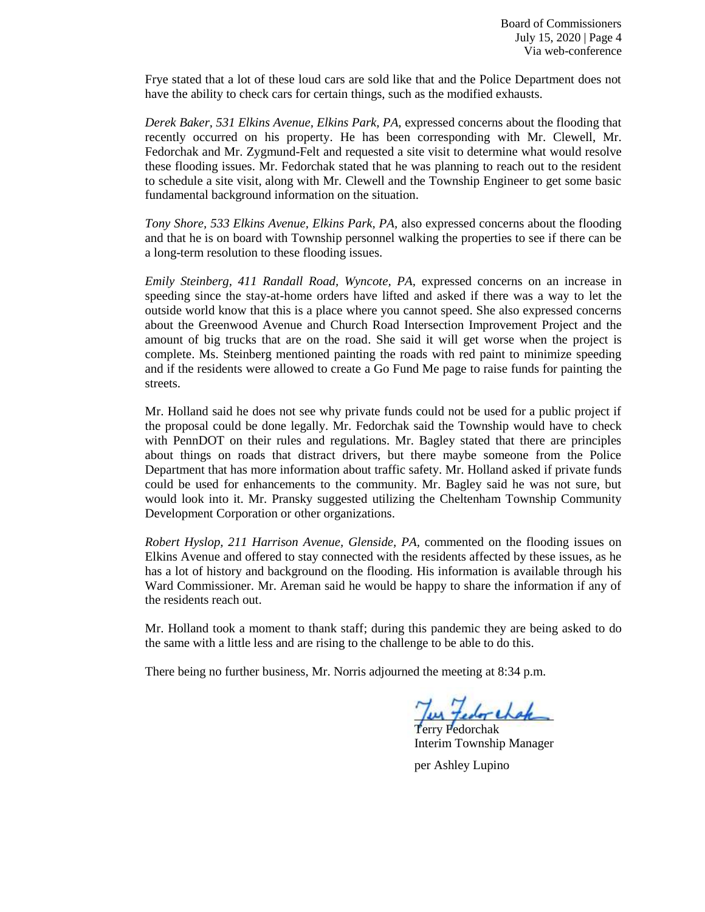Frye stated that a lot of these loud cars are sold like that and the Police Department does not have the ability to check cars for certain things, such as the modified exhausts.

*Derek Baker, 531 Elkins Avenue, Elkins Park, PA,* expressed concerns about the flooding that recently occurred on his property. He has been corresponding with Mr. Clewell, Mr. Fedorchak and Mr. Zygmund-Felt and requested a site visit to determine what would resolve these flooding issues. Mr. Fedorchak stated that he was planning to reach out to the resident to schedule a site visit, along with Mr. Clewell and the Township Engineer to get some basic fundamental background information on the situation.

*Tony Shore, 533 Elkins Avenue, Elkins Park, PA,* also expressed concerns about the flooding and that he is on board with Township personnel walking the properties to see if there can be a long-term resolution to these flooding issues.

*Emily Steinberg, 411 Randall Road, Wyncote, PA,* expressed concerns on an increase in speeding since the stay-at-home orders have lifted and asked if there was a way to let the outside world know that this is a place where you cannot speed. She also expressed concerns about the Greenwood Avenue and Church Road Intersection Improvement Project and the amount of big trucks that are on the road. She said it will get worse when the project is complete. Ms. Steinberg mentioned painting the roads with red paint to minimize speeding and if the residents were allowed to create a Go Fund Me page to raise funds for painting the streets.

Mr. Holland said he does not see why private funds could not be used for a public project if the proposal could be done legally. Mr. Fedorchak said the Township would have to check with PennDOT on their rules and regulations. Mr. Bagley stated that there are principles about things on roads that distract drivers, but there maybe someone from the Police Department that has more information about traffic safety. Mr. Holland asked if private funds could be used for enhancements to the community. Mr. Bagley said he was not sure, but would look into it. Mr. Pransky suggested utilizing the Cheltenham Township Community Development Corporation or other organizations.

*Robert Hyslop, 211 Harrison Avenue, Glenside, PA,* commented on the flooding issues on Elkins Avenue and offered to stay connected with the residents affected by these issues, as he has a lot of history and background on the flooding. His information is available through his Ward Commissioner. Mr. Areman said he would be happy to share the information if any of the residents reach out.

Mr. Holland took a moment to thank staff; during this pandemic they are being asked to do the same with a little less and are rising to the challenge to be able to do this.

There being no further business, Mr. Norris adjourned the meeting at 8:34 p.m.

I've tedor chake

Terry Fedorchak Interim Township Manager

per Ashley Lupino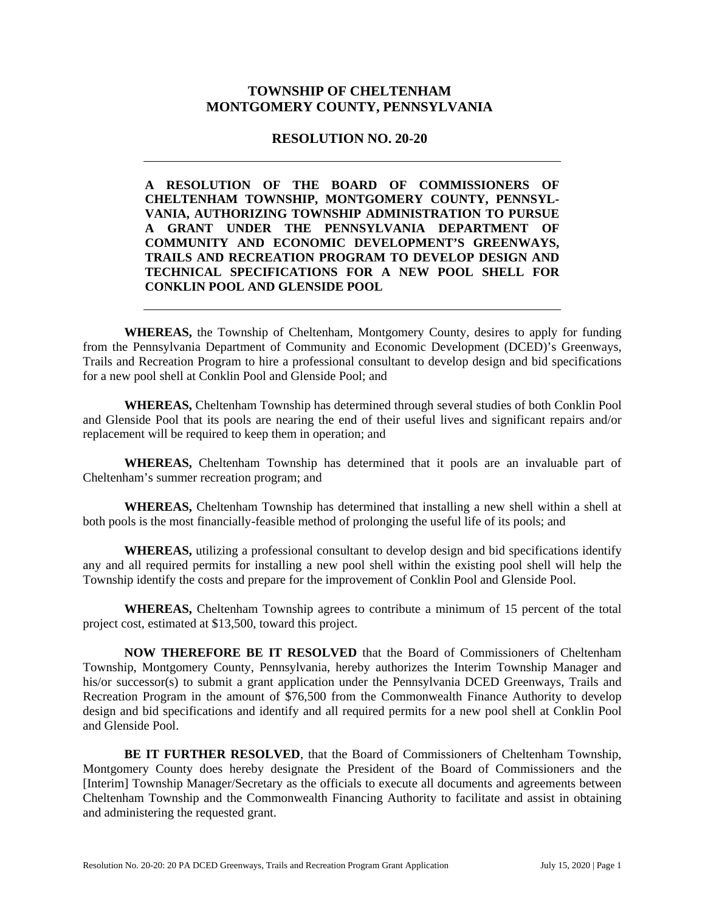# **TOWNSHIP OF CHELTENHAM MONTGOMERY COUNTY, PENNSYLVANIA**

### **RESOLUTION NO. 20-20**

**A RESOLUTION OF THE BOARD OF COMMISSIONERS OF CHELTENHAM TOWNSHIP, MONTGOMERY COUNTY, PENNSYL-VANIA, AUTHORIZING TOWNSHIP ADMINISTRATION TO PURSUE A GRANT UNDER THE PENNSYLVANIA DEPARTMENT OF COMMUNITY AND ECONOMIC DEVELOPMENT'S GREENWAYS, TRAILS AND RECREATION PROGRAM TO DEVELOP DESIGN AND TECHNICAL SPECIFICATIONS FOR A NEW POOL SHELL FOR CONKLIN POOL AND GLENSIDE POOL** 

**WHEREAS,** the Township of Cheltenham, Montgomery County, desires to apply for funding from the Pennsylvania Department of Community and Economic Development (DCED)'s Greenways, Trails and Recreation Program to hire a professional consultant to develop design and bid specifications for a new pool shell at Conklin Pool and Glenside Pool; and

**WHEREAS,** Cheltenham Township has determined through several studies of both Conklin Pool and Glenside Pool that its pools are nearing the end of their useful lives and significant repairs and/or replacement will be required to keep them in operation; and

**WHEREAS,** Cheltenham Township has determined that it pools are an invaluable part of Cheltenham's summer recreation program; and

**WHEREAS,** Cheltenham Township has determined that installing a new shell within a shell at both pools is the most financially-feasible method of prolonging the useful life of its pools; and

**WHEREAS,** utilizing a professional consultant to develop design and bid specifications identify any and all required permits for installing a new pool shell within the existing pool shell will help the Township identify the costs and prepare for the improvement of Conklin Pool and Glenside Pool.

**WHEREAS,** Cheltenham Township agrees to contribute a minimum of 15 percent of the total project cost, estimated at \$13,500, toward this project.

**NOW THEREFORE BE IT RESOLVED** that the Board of Commissioners of Cheltenham Township, Montgomery County, Pennsylvania, hereby authorizes the Interim Township Manager and his/or successor(s) to submit a grant application under the Pennsylvania DCED Greenways, Trails and Recreation Program in the amount of \$76,500 from the Commonwealth Finance Authority to develop design and bid specifications and identify and all required permits for a new pool shell at Conklin Pool and Glenside Pool.

**BE IT FURTHER RESOLVED**, that the Board of Commissioners of Cheltenham Township, Montgomery County does hereby designate the President of the Board of Commissioners and the [Interim] Township Manager/Secretary as the officials to execute all documents and agreements between Cheltenham Township and the Commonwealth Financing Authority to facilitate and assist in obtaining and administering the requested grant.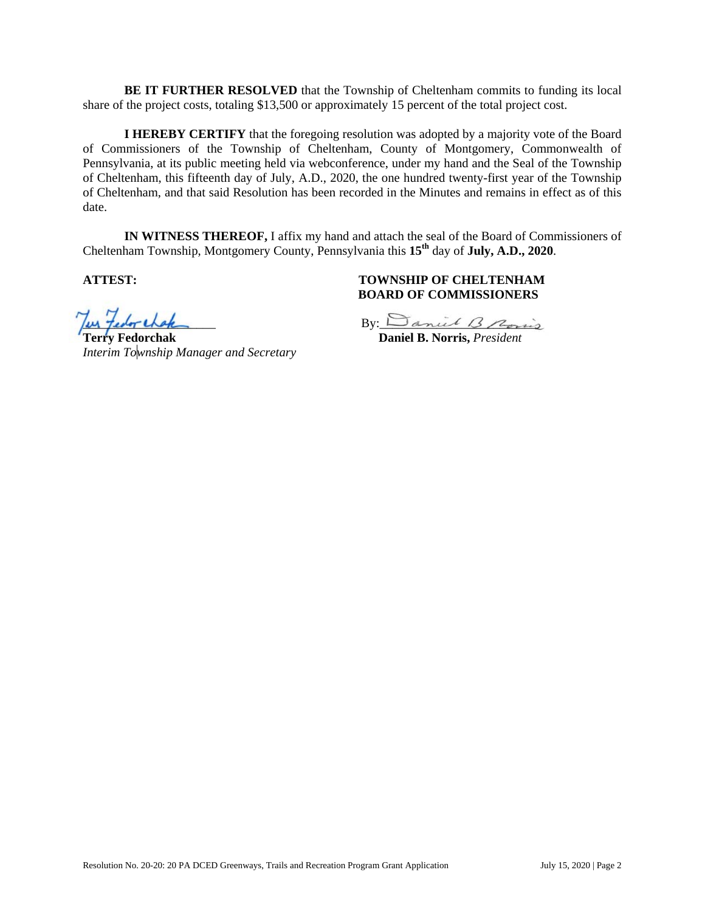**BE IT FURTHER RESOLVED** that the Township of Cheltenham commits to funding its local share of the project costs, totaling \$13,500 or approximately 15 percent of the total project cost.

**I HEREBY CERTIFY** that the foregoing resolution was adopted by a majority vote of the Board of Commissioners of the Township of Cheltenham, County of Montgomery, Commonwealth of Pennsylvania, at its public meeting held via webconference, under my hand and the Seal of the Township of Cheltenham, this fifteenth day of July, A.D., 2020, the one hundred twenty-first year of the Township of Cheltenham, and that said Resolution has been recorded in the Minutes and remains in effect as of this date.

**IN WITNESS THEREOF,** I affix my hand and attach the seal of the Board of Commissioners of Cheltenham Township, Montgomery County, Pennsylvania this **15th** day of **July, A.D., 2020**.

*Interim Township Manager and Secretary* 

## **ATTEST: TOWNSHIP OF CHELTENHAM BOARD OF COMMISSIONERS**

Jus Fedor chak<br>Terry Fedorchak<br>Daniel B. Norris, President

**Terry Fedorchak Daniel B. Norris,** *President*